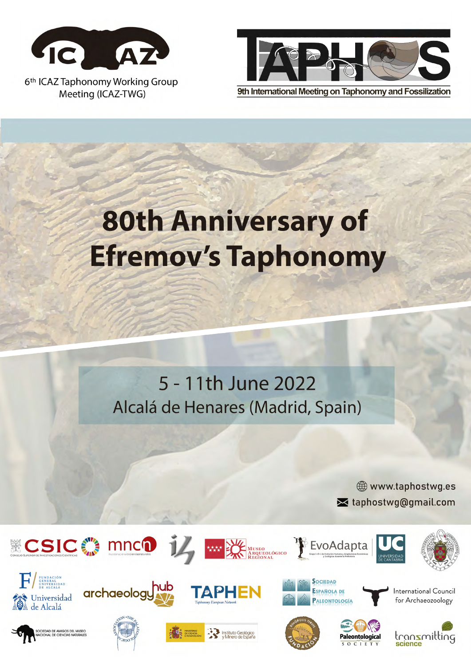



9th International Meeting on Taphonomy and Fossilization

# **80th Anniversary of Efremov's Taphonomy**

5 - 11th June 2022 Alcalá de Henares (Madrid, Spain)

> www.taphostwg.es set taphostwg@gmail.com









WARRY MUSEO MEGIONAL



<sup>2</sup> EvoAdapta

International Council for Archaeozoology















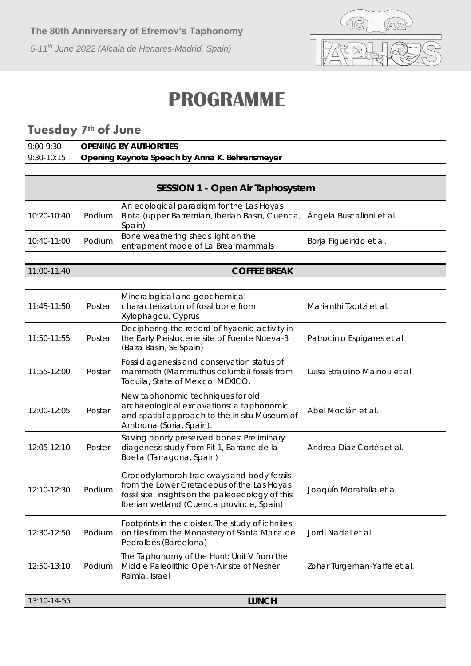

## **PROGRAMME**

## **Tuesday 7th of June**

| 9:00-9:30    | OPENING BY AUTHORITIES                         |
|--------------|------------------------------------------------|
| $9:30-10:15$ | Opening Keynote Speech by Anna K. Behrensmeyer |

| SESSION 1 - Open Air Taphosystem |        |                                                                                                                                                                                          |                               |
|----------------------------------|--------|------------------------------------------------------------------------------------------------------------------------------------------------------------------------------------------|-------------------------------|
| 10:20-10:40                      | Podium | An ecological paradigm for the Las Hoyas<br>Biota (upper Barremian, Iberian Basin, Cuenca,<br>Spain)                                                                                     | Ángela Buscalioni et al.      |
| 10:40-11:00                      | Podium | Bone weathering sheds light on the<br>entrapment mode of La Brea mammals                                                                                                                 | Borja Figueirido et al.       |
|                                  |        |                                                                                                                                                                                          |                               |
| 11:00-11:40                      |        | <b>COFFEE BREAK</b>                                                                                                                                                                      |                               |
| 11:45-11:50                      | Poster | Mineralogical and geochemical<br>characterization of fossil bone from<br>Xylophagou, Cyprus                                                                                              | Marianthi Tzortzi et al.      |
| 11:50-11:55                      | Poster | Deciphering the record of hyaenid activity in<br>the Early Pleistocene site of Fuente Nueva-3<br>(Baza Basin, SE Spain)                                                                  | Patrocinio Espigares et al.   |
| 11:55-12:00                      | Poster | Fossildiagenesis and conservation status of<br>mammoth (Mammuthus columbi) fossils from<br>Tocuila, State of Mexico, MEXICO.                                                             | Luisa Straulino Mainou et al. |
| 12:00-12:05                      | Poster | New taphonomic techniques for old<br>archaeological excavations: a taphonomic<br>and spatial approach to the in situ Museum of<br>Ambrona (Soria, Spain).                                | Abel Moclán et al.            |
| 12:05-12:10                      | Poster | Saving poorly preserved bones: Preliminary<br>diagenesis study from Pit 1, Barranc de la<br>Boella (Tarragona, Spain)                                                                    | Andrea Díaz-Cortés et al.     |
| 12:10-12:30                      | Podium | Crocodylomorph trackways and body fossils<br>from the Lower Cretaceous of the Las Hoyas<br>fossil site: insights on the paleoecology of this<br>Iberian wetland (Cuenca province, Spain) | Joaquín Moratalla et al.      |
| 12:30-12:50                      | Podium | Footprints in the cloister. The study of ichnites<br>on tiles from the Monastery of Santa Maria de<br>Pedralbes (Barcelona)                                                              | Jordi Nadal et al.            |
| 12:50-13:10                      | Podium | The Taphonomy of the Hunt: Unit V from the<br>Middle Paleolithic Open-Air site of Nesher<br>Ramla, Israel                                                                                | Zohar Turgeman-Yaffe et al.   |
|                                  |        |                                                                                                                                                                                          |                               |
| 13:10-14-55                      |        | <b>LUNCH</b>                                                                                                                                                                             |                               |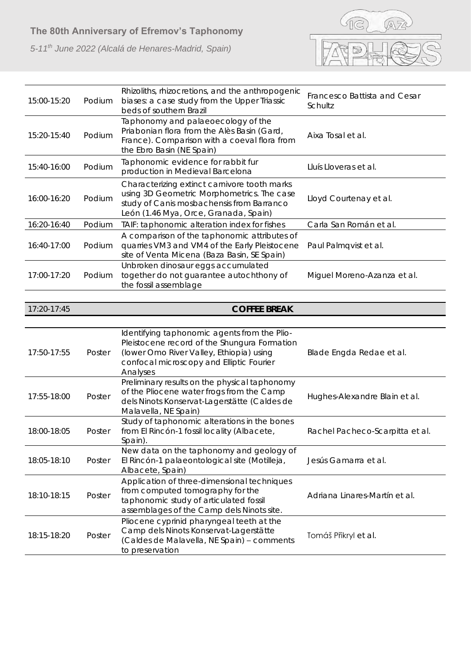

| 15:00-15:20 | Podium | Rhizoliths, rhizocretions, and the anthropogenic<br>biases: a case study from the Upper Triassic<br>beds of southern Brazil                                                                                         | Francesco Battista and Cesar<br>Schultz |
|-------------|--------|---------------------------------------------------------------------------------------------------------------------------------------------------------------------------------------------------------------------|-----------------------------------------|
| 15:20-15:40 | Podium | Taphonomy and palaeoecology of the<br>Priabonian flora from the Alès Basin (Gard,<br>France). Comparison with a coeval flora from<br>the Ebro Basin (NE Spain)                                                      | Aixa Tosal et al.                       |
| 15:40-16:00 | Podium | Taphonomic evidence for rabbit fur<br>production in Medieval Barcelona                                                                                                                                              | Lluís Lloveras et al.                   |
| 16:00-16:20 | Podium | Characterizing extinct carnivore tooth marks<br>using 3D Geometric Morphometrics. The case<br>study of Canis mosbachensis from Barranco<br>León (1.46 Mya, Orce, Granada, Spain)                                    | Lloyd Courtenay et al.                  |
| 16:20-16:40 | Podium | TAIF: taphonomic alteration index for fishes                                                                                                                                                                        | Carla San Román et al.                  |
| 16:40-17:00 | Podium | A comparison of the taphonomic attributes of<br>quarries VM3 and VM4 of the Early Pleistocene<br>site of Venta Micena (Baza Basin, SE Spain)                                                                        | Paul Palmqvist et al.                   |
| 17:00-17:20 | Podium | Unbroken dinosaur eggs accumulated<br>together do not guarantee autochthony of<br>the fossil assemblage                                                                                                             | Miguel Moreno-Azanza et al.             |
|             |        |                                                                                                                                                                                                                     |                                         |
| 17:20-17:45 |        | <b>COFFEE BREAK</b>                                                                                                                                                                                                 |                                         |
|             |        |                                                                                                                                                                                                                     |                                         |
|             |        | Identifying taphonomic agents from the Plio-                                                                                                                                                                        |                                         |
| 17:50-17:55 | Poster | Pleistocene record of the Shungura Formation<br>(lower Omo River Valley, Ethiopia) using<br>confocal microscopy and Elliptic Fourier<br>Analyses                                                                    | Blade Engda Redae et al.                |
| 17:55-18:00 | Poster | Preliminary results on the physical taphonomy<br>of the Pliocene water frogs from the Camp<br>dels Ninots Konservat-Lagerstätte (Caldes de<br>Malavella, NE Spain)                                                  | Hughes-Alexandre Blain et al.           |
| 18:00-18:05 | Poster | Study of taphonomic alterations in the bones<br>from El Rincón-1 fossil locality (Albacete,<br>Spain)                                                                                                               | Rachel Pacheco-Scarpitta et al.         |
| 18:05-18:10 | Poster | New data on the taphonomy and geology of<br>El Rincón-1 palaeontological site (Motilleja,<br>Albacete, Spain)                                                                                                       | Jesús Gamarra et al.                    |
| 18:10-18:15 | Poster | Application of three-dimensional techniques<br>from computed tomography for the<br>taphonomic study of articulated fossil<br>assemblages of the Camp dels Ninots site.<br>Pliocene cyprinid pharyngeal teeth at the | Adriana Linares-Martín et al.           |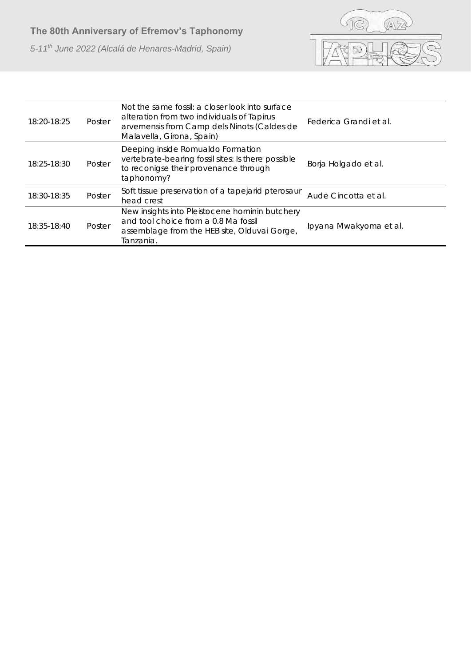

| 18:20-18:25 | Poster | Not the same fossil: a closer look into surface<br>alteration from two individuals of Tapirus<br>arvernensis from Camp dels Ninots (Caldes de<br>Malavella, Girona, Spain) | Federica Grandi et al. |
|-------------|--------|----------------------------------------------------------------------------------------------------------------------------------------------------------------------------|------------------------|
| 18:25-18:30 | Poster | Deeping inside Romualdo Formation<br>vertebrate-bearing fossil sites: Is there possible<br>to reconigse their provenance through<br>taphonomy?                             | Borja Holgado et al.   |
| 18:30-18:35 | Poster | Soft tissue preservation of a tapejarid pterosaur<br>head crest                                                                                                            | Aude Cincotta et al.   |
| 18:35-18:40 | Poster | New insights into Pleistocene hominin butchery<br>and tool choice from a 0.8 Ma fossil<br>assemblage from the HEB site, Olduvai Gorge,<br>Tanzania.                        | Ipyana Mwakyoma et al. |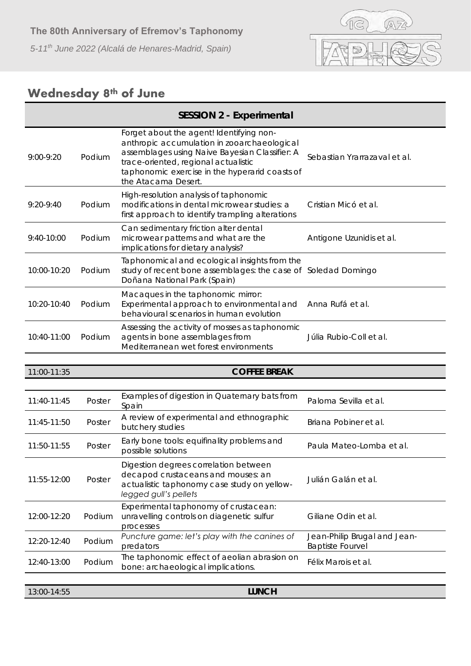

### **Wednesday 8th of June**

|               |        | SESSION 2 - Experimental                                                                                                                                                                                                                                   |                                                         |
|---------------|--------|------------------------------------------------------------------------------------------------------------------------------------------------------------------------------------------------------------------------------------------------------------|---------------------------------------------------------|
| $9:00 - 9:20$ | Podium | Forget about the agent! Identifying non-<br>anthropic accumulation in zooarchaeological<br>assemblages using Naive Bayesian Classifier: A<br>trace-oriented, regional actualistic<br>taphonomic exercise in the hyperarid coasts of<br>the Atacama Desert. | Sebastian Yrarrazaval et al.                            |
| $9:20 - 9:40$ | Podium | High-resolution analysis of taphonomic<br>modifications in dental microwear studies: a<br>first approach to identify trampling alterations                                                                                                                 | Cristian Micó et al.                                    |
| $9:40-10:00$  | Podium | Can sedimentary friction alter dental<br>microwear patterns and what are the<br>implications for dietary analysis?                                                                                                                                         | Antigone Uzunidis et al.                                |
| 10:00-10:20   | Podium | Taphonomical and ecological insights from the<br>study of recent bone assemblages: the case of Soledad Domingo<br>Doñana National Park (Spain)                                                                                                             |                                                         |
| 10:20-10:40   | Podium | Macaques in the taphonomic mirror:<br>Experimental approach to environmental and<br>behavioural scenarios in human evolution                                                                                                                               | Anna Rufá et al.                                        |
| 10:40-11:00   | Podium | Assessing the activity of mosses as taphonomic<br>agents in bone assemblages from<br>Mediterranean wet forest environments                                                                                                                                 | Júlia Rubio-Coll et al.                                 |
|               |        |                                                                                                                                                                                                                                                            |                                                         |
| 11:00-11:35   |        | <b>COFFEE BREAK</b>                                                                                                                                                                                                                                        |                                                         |
| 11:40-11:45   | Poster | Examples of digestion in Quaternary bats from<br>Spain                                                                                                                                                                                                     | Paloma Sevilla et al.                                   |
| 11:45-11:50   | Poster | A review of experimental and ethnographic<br>butchery studies                                                                                                                                                                                              | Briana Pobiner et al.                                   |
| 11:50-11:55   | Poster | Early bone tools: equifinality problems and<br>possible solutions                                                                                                                                                                                          | Paula Mateo-Lomba et al.                                |
| 11:55-12:00   | Poster | Digestion degrees correlation between<br>decapod crustaceans and mouses: an<br>actualistic taphonomy case study on yellow-<br>legged gull's pellets                                                                                                        | Julián Galán et al.                                     |
|               |        |                                                                                                                                                                                                                                                            |                                                         |
| 12:00-12:20   | Podium | Experimental taphonomy of crustacean:<br>unravelling controls on diagenetic sulfur<br>processes                                                                                                                                                            | Giliane Odin et al.                                     |
| 12:20-12:40   | Podium | Puncture game: let's play with the canines of<br>predators                                                                                                                                                                                                 | Jean-Philip Brugal and Jean-<br><b>Baptiste Fourvel</b> |
| 12:40-13:00   | Podium | The taphonomic effect of aeolian abrasion on<br>bone: archaeological implications.                                                                                                                                                                         | Félix Marois et al.                                     |
| 13:00-14:55   |        | <b>LUNCH</b>                                                                                                                                                                                                                                               |                                                         |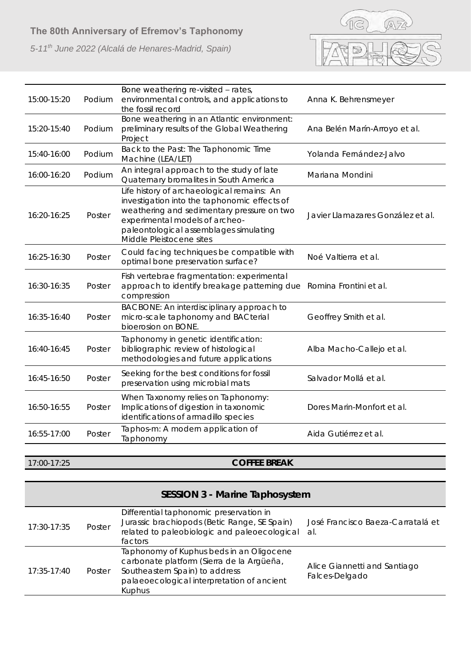*5-11th June 2022 (Alcalá de Henares-Madrid, Spain)*



| 15:00-15:20 | Podium | Bone weathering re-visited - rates,<br>environmental controls, and applications to<br>the fossil record                                                                                                                                          | Anna K. Behrensmeyer              |
|-------------|--------|--------------------------------------------------------------------------------------------------------------------------------------------------------------------------------------------------------------------------------------------------|-----------------------------------|
| 15:20-15:40 | Podium | Bone weathering in an Atlantic environment:<br>preliminary results of the Global Weathering<br>Project                                                                                                                                           | Ana Belén Marín-Arroyo et al.     |
| 15:40-16:00 | Podium | Back to the Past: The Taphonomic Time<br>Machine (LEA/LET)                                                                                                                                                                                       | Yolanda Fernández-Jalvo           |
| 16:00-16:20 | Podium | An integral approach to the study of late<br>Quaternary bromalites in South America                                                                                                                                                              | Mariana Mondini                   |
| 16:20-16:25 | Poster | Life history of archaeological remains: An<br>investigation into the taphonomic effects of<br>weathering and sedimentary pressure on two<br>experimental models of archeo-<br>paleontological assemblages simulating<br>Middle Pleistocene sites | Javier Llamazares González et al. |
| 16:25-16:30 | Poster | Could facing techniques be compatible with<br>optimal bone preservation surface?                                                                                                                                                                 | Noé Valtierra et al.              |
| 16:30-16:35 | Poster | Fish vertebrae fragmentation: experimental<br>approach to identify breakage patterning due<br>compression                                                                                                                                        | Romina Frontini et al.            |
| 16:35-16:40 | Poster | BACBONE: An interdisciplinary approach to<br>micro-scale taphonomy and BACterial<br>bioerosion on BONE.                                                                                                                                          | Geoffrey Smith et al.             |
| 16:40-16:45 | Poster | Taphonomy in genetic identification:<br>bibliographic review of histological<br>methodologies and future applications                                                                                                                            | Alba Macho-Callejo et al.         |
| 16:45-16:50 | Poster | Seeking for the best conditions for fossil<br>preservation using microbial mats                                                                                                                                                                  | Salvador Mollá et al.             |
| 16:50-16:55 | Poster | When Taxonomy relies on Taphonomy:<br>Implications of digestion in taxonomic<br>identifications of armadillo species                                                                                                                             | Dores Marin-Monfort et al.        |
| 16:55-17:00 | Poster | Taphos-m: A modern application of<br>Taphonomy                                                                                                                                                                                                   | Aida Gutiérrez et al.             |

17:00-17:25 **COFFEE BREAK**

| SESSION 3 - Marine Taphosystem |        |                                                                                                                                                                                 |                                                |
|--------------------------------|--------|---------------------------------------------------------------------------------------------------------------------------------------------------------------------------------|------------------------------------------------|
| 17:30-17:35                    | Poster | Differential taphonomic preservation in<br>Jurassic brachiopods (Betic Range, SE Spain)<br>related to paleobiologic and paleoecological<br>factors                              | José Francisco Baeza-Carratalá et<br>al        |
| 17:35-17:40                    | Poster | Taphonomy of Kuphus beds in an Oligocene<br>carbonate platform (Sierra de la Argüeña,<br>Southeastern Spain) to address<br>palaeoecological interpretation of ancient<br>Kuphus | Alice Giannetti and Santiago<br>Falces-Delgado |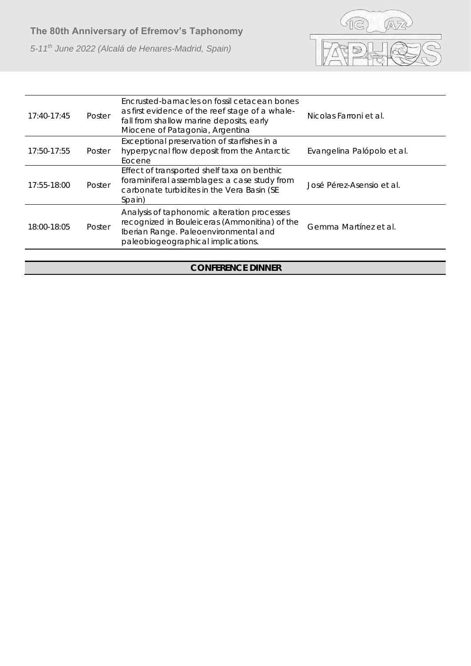*5-11th June 2022 (Alcalá de Henares-Madrid, Spain)*



| 17:40-17:45 | Poster | Encrusted-barnacles on fossil cetacean bones<br>as first evidence of the reef stage of a whale-<br>fall from shallow marine deposits, early<br>Miocene of Patagonia, Argentina | Nicolas Farroni et al.     |
|-------------|--------|--------------------------------------------------------------------------------------------------------------------------------------------------------------------------------|----------------------------|
| 17:50-17:55 | Poster | Exceptional preservation of starfishes in a<br>hyperpycnal flow deposit from the Antarctic<br>Eocene                                                                           | Evangelina Palópolo et al. |
| 17:55-18:00 | Poster | Effect of transported shelf taxa on benthic<br>foraminiferal assemblages: a case study from<br>carbonate turbidites in the Vera Basin (SE<br>Spain)                            | José Pérez-Asensio et al.  |
| 18:00-18:05 | Poster | Analysis of taphonomic alteration processes<br>recognized in Bouleiceras (Ammonitina) of the<br>Iberian Range. Paleoenvironmental and<br>paleobiogeographical implications.    | Gemma Martínez et al.      |
|             |        |                                                                                                                                                                                |                            |

#### **CONFERENCE DINNER**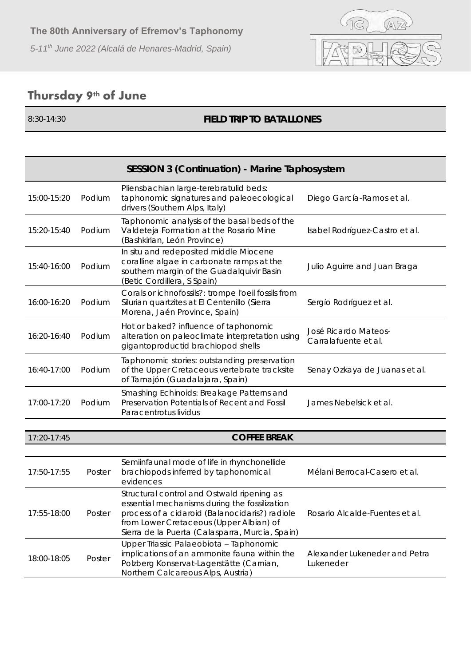

## **Thursday 9th of June**

#### 8:30-14:30 **FIELD TRIP TO BATALLONES**

| SESSION 3 (Continuation) - Marine Taphosystem |        |                                                                                                                                                                                                                                             |                                              |
|-----------------------------------------------|--------|---------------------------------------------------------------------------------------------------------------------------------------------------------------------------------------------------------------------------------------------|----------------------------------------------|
| 15:00-15:20                                   | Podium | Pliensbachian large-terebratulid beds:<br>taphonomic signatures and paleoecological<br>drivers (Southern Alps, Italy)                                                                                                                       | Diego García-Ramos et al.                    |
| 15:20-15:40                                   | Podium | Taphonomic analysis of the basal beds of the<br>Valdeteja Formation at the Rosario Mine<br>(Bashkirian, León Province)                                                                                                                      | Isabel Rodríguez-Castro et al.               |
| 15:40-16:00                                   | Podium | In situ and redeposited middle Miocene<br>coralline algae in carbonate ramps at the<br>southern margin of the Guadalquivir Basin<br>(Betic Cordillera, S Spain)                                                                             | Julio Aguirre and Juan Braga                 |
| 16:00-16:20                                   | Podium | Corals or ichnofossils?: trompe l'oeil fossils from<br>Silurian quartzites at El Centenillo (Sierra<br>Morena, Jaén Province, Spain)                                                                                                        | Sergío Rodríguez et al.                      |
| 16:20-16:40                                   | Podium | Hot or baked? influence of taphonomic<br>alteration on paleoclimate interpretation using<br>gigantoproductid brachiopod shells                                                                                                              | José Ricardo Mateos-<br>Carralafuente et al. |
| 16:40-17:00                                   | Podium | Taphonomic stories: outstanding preservation<br>of the Upper Cretaceous vertebrate tracksite<br>of Tamajón (Guadalajara, Spain)                                                                                                             | Senay Ozkaya de Juanas et al.                |
| 17:00-17:20                                   | Podium | Smashing Echinoids: Breakage Patterns and<br>Preservation Potentials of Recent and Fossil<br>Paracentrotus lividus                                                                                                                          | James Nebelsick et al.                       |
|                                               |        |                                                                                                                                                                                                                                             |                                              |
| 17:20-17:45                                   |        | <b>COFFEE BREAK</b>                                                                                                                                                                                                                         |                                              |
| 17:50-17:55                                   | Poster | Semiinfaunal mode of life in rhynchonellide<br>brachiopods inferred by taphonomical<br>evidences                                                                                                                                            | Mélani Berrocal-Casero et al.                |
| 17:55-18:00                                   | Poster | Structural control and Ostwald ripening as<br>essential mechanisms during the fossilization<br>process of a cidaroid (Balanocidaris?) radiole<br>from Lower Cretaceous (Upper Albian) of<br>Sierra de la Puerta (Calasparra, Murcia, Spain) | Rosario Alcalde-Fuentes et al.               |
| 18:00-18:05                                   | Poster | Upper Triassic Palaeobiota - Taphonomic<br>implications of an ammonite fauna within the<br>Polzberg Konservat-Lagerstätte (Carnian,<br>Northern Calcareous Alps, Austria)                                                                   | Alexander Lukeneder and Petra<br>Lukeneder   |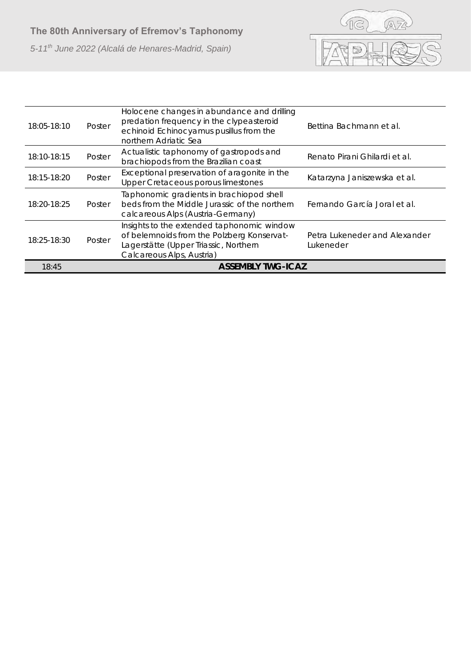

| 18:05-18:10 | Poster | Holocene changes in abundance and drilling<br>predation frequency in the clypeasteroid<br>echinoid Echinocyamus pusillus from the<br>northern Adriatic Sea     | Bettina Bachmann et al.                    |
|-------------|--------|----------------------------------------------------------------------------------------------------------------------------------------------------------------|--------------------------------------------|
| 18:10-18:15 | Poster | Actualistic taphonomy of gastropods and<br>brachiopods from the Brazilian coast                                                                                | Renato Pirani Ghilardi et al.              |
| 18:15-18:20 | Poster | Exceptional preservation of aragonite in the<br>Upper Cretaceous porous limestones                                                                             | Katarzyna Janiszewska et al.               |
| 18:20-18:25 | Poster | Taphonomic gradients in brachiopod shell<br>beds from the Middle Jurassic of the northern<br>calcareous Alps (Austria-Germany)                                 | Fernando García Joral et al.               |
| 18:25-18:30 | Poster | Insights to the extended taphonomic window<br>of belemnoids from the Polzberg Konservat-<br>Lagerstätte (Upper Triassic, Northern<br>Calcareous Alps, Austria) | Petra Lukeneder and Alexander<br>Lukeneder |
| 18:45       |        | <b>ASSEMBLY TWG-ICAZ</b>                                                                                                                                       |                                            |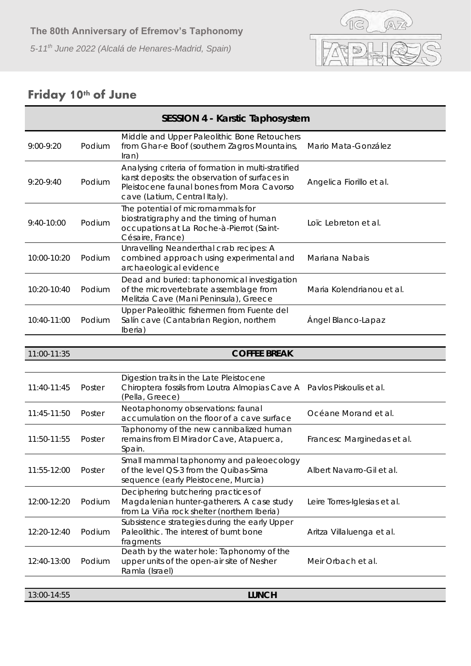

## **Friday 10th of June**

| SESSION 4 - Karstic Taphosystem |        |                                                                                                                                                                                      |                              |
|---------------------------------|--------|--------------------------------------------------------------------------------------------------------------------------------------------------------------------------------------|------------------------------|
| 9:00-9:20                       | Podium | Middle and Upper Paleolithic Bone Retouchers<br>from Ghar-e Boof (southern Zagros Mountains,<br>$\ln$ an)                                                                            | Mario Mata-González          |
| $9:20-9:40$                     | Podium | Analysing criteria of formation in multi-stratified<br>karst deposits: the observation of surfaces in<br>Pleistocene faunal bones from Mora Cavorso<br>cave (Latium, Central Italy). | Angelica Fiorillo et al.     |
| 9:40-10:00                      | Podium | The potential of micromammals for<br>biostratigraphy and the timing of human<br>occupations at La Roche-à-Pierrot (Saint-<br>Césaire, France)                                        | Loïc Lebreton et al.         |
| 10:00-10:20                     | Podium | Unravelling Neanderthal crab recipes: A<br>combined approach using experimental and<br>archaeological evidence                                                                       | Mariana Nabais               |
| 10:20-10:40                     | Podium | Dead and buried: taphonomical investigation<br>of the microvertebrate assemblage from<br>Melitzia Cave (Mani Peninsula), Greece                                                      | Maria Kolendrianou et al.    |
| 10:40-11:00                     | Podium | Upper Paleolithic fishermen from Fuente del<br>Salín cave (Cantabrian Region, northern<br>Iberia)                                                                                    | Ángel Blanco-Lapaz           |
|                                 |        |                                                                                                                                                                                      |                              |
| 11:00-11:35                     |        | <b>COFFEE BREAK</b>                                                                                                                                                                  |                              |
| 11:40-11:45                     | Poster | Digestion traits in the Late Pleistocene<br>Chiroptera fossils from Loutra Almopias Cave A Pavlos Piskoulis et al.<br>(Pella, Greece)                                                |                              |
| 11:45-11:50                     | Poster | Neotaphonomy observations: faunal<br>accumulation on the floor of a cave surface                                                                                                     | Océane Morand et al.         |
| 11:50-11:55                     | Poster | Taphonomy of the new cannibalized human<br>remains from El Mirador Cave, Atapuerca,<br>Spain.                                                                                        | Francesc Marginedas et al.   |
| 11:55-12:00                     | Poster | Small mammal taphonomy and paleoecology<br>of the level QS-3 from the Quibas-Sima<br>sequence (early Pleistocene, Murcia)                                                            | Albert Navarro-Gil et al.    |
| 12:00-12:20                     | Podium | Deciphering butchering practices of<br>Magdalenian hunter-gatherers. A case study<br>from La Viña rock shelter (northern Iberia)                                                     | Leire Torres-Iglesias et al. |
| 12:20-12:40                     | Podium | Subsistence strategies during the early Upper<br>Paleolithic. The interest of burnt bone<br>fragments                                                                                | Aritza Villaluenga et al.    |
| 12:40-13:00                     | Podium | Death by the water hole: Taphonomy of the<br>upper units of the open-air site of Nesher<br>Ramla (Israel)                                                                            | Meir Orbach et al.           |
|                                 |        |                                                                                                                                                                                      |                              |
| 13:00-14:55                     |        | <b>LUNCH</b>                                                                                                                                                                         |                              |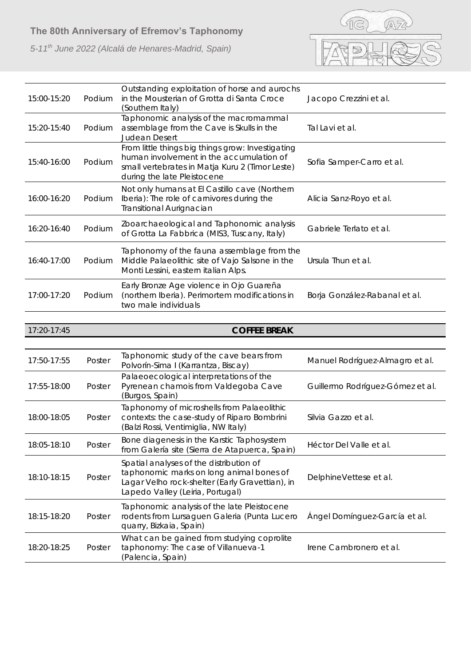*5-11th June 2022 (Alcalá de Henares-Madrid, Spain)*



| 15:00-15:20 | Podium | Outstanding exploitation of horse and aurochs<br>in the Mousterian of Grotta di Santa Croce<br>(Southern Italy)                                                                 | Jacopo Crezzini et al.           |
|-------------|--------|---------------------------------------------------------------------------------------------------------------------------------------------------------------------------------|----------------------------------|
| 15:20-15:40 | Podium | Taphonomic analysis of the macromammal<br>assemblage from the Cave is Skulls in the<br>Judean Desert                                                                            | Tal Lavi et al.                  |
| 15:40-16:00 | Podium | From little things big things grow: Investigating<br>human involvement in the accumulation of<br>small vertebrates in Matja Kuru 2 (Timor Leste)<br>during the late Pleistocene | Sofia Samper-Carro et al.        |
| 16:00-16:20 | Podium | Not only humans at El Castillo cave (Northern<br>Iberia): The role of carnivores during the<br>Transitional Aurignacian                                                         | Alicia Sanz-Royo et al.          |
| 16:20-16:40 | Podium | Zooarchaeological and Taphonomic analysis<br>of Grotta La Fabbrica (MIS3, Tuscany, Italy)                                                                                       | Gabriele Terlato et al.          |
| 16:40-17:00 | Podium | Taphonomy of the fauna assemblage from the<br>Middle Palaeolithic site of Vajo Salsone in the<br>Monti Lessini, eastern italian Alps.                                           | Ursula Thun et al.               |
| 17:00-17:20 | Podium | Early Bronze Age violence in Ojo Guareña<br>(northern Iberia). Perimortem modifications in<br>two male individuals                                                              | Borja González-Rabanal et al.    |
|             |        |                                                                                                                                                                                 |                                  |
| 17:20-17:45 |        | <b>COFFEE BREAK</b>                                                                                                                                                             |                                  |
| 17:50-17:55 | Poster | Taphonomic study of the cave bears from<br>Polvorín-Sima I (Karrantza, Biscay)                                                                                                  | Manuel Rodríguez-Almagro et al.  |
| 17:55-18:00 | Poster | Palaeoecological interpretations of the<br>Pyrenean chamois from Valdegoba Cave<br>(Burgos, Spain)                                                                              | Guillermo Rodríguez-Gómez et al. |
| 18:00-18:05 | Poster | Taphonomy of microshells from Palaeolithic<br>contexts: the case-study of Riparo Bombrini<br>(Balzi Rossi, Ventimiglia, NW Italy)                                               | Silvia Gazzo et al.              |

| 18:10-18:15 | Poster | Spatial analyses of the distribution of<br>taphonomic marks on long animal bones of<br>Lagar Velho rock-shelter (Early Gravettian), in<br>Lapedo Valley (Leiria, Portugal) | DelphineVettese et al.        |
|-------------|--------|----------------------------------------------------------------------------------------------------------------------------------------------------------------------------|-------------------------------|
| 18:15-18:20 | Poster | Taphonomic analysis of the late Pleistocene<br>rodents from Lursaguen Galeria (Punta Lucero<br>quarry, Bizkaia, Spain)                                                     | Ángel Domínguez-García et al. |
| 18:20-18:25 | Poster | What can be gained from studying coprolite<br>taphonomy: The case of Villanueva-1<br>(Palencia, Spain)                                                                     | Irene Cambronero et al.       |

*from Galería site (Sierra de Atapuerca, Spain)* Héctor Del Valle *et al.*

18:05-18:10 Poster *Bone diagenesis in the Karstic Taphosystem*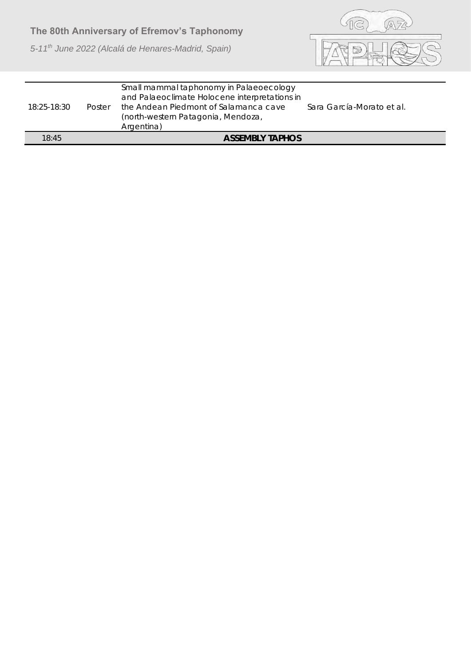

| 18:25-18:30 | Poster | Small mammal taphonomy in Palaeoecology<br>and Palaeoclimate Holocene interpretations in<br>the Andean Piedmont of Salamanca cave<br>(north-western Patagonia, Mendoza,<br>Argentina) | Sara García-Morato et al. |
|-------------|--------|---------------------------------------------------------------------------------------------------------------------------------------------------------------------------------------|---------------------------|
| 18:45       |        | <b>ASSEMBLY TAPHOS</b>                                                                                                                                                                |                           |